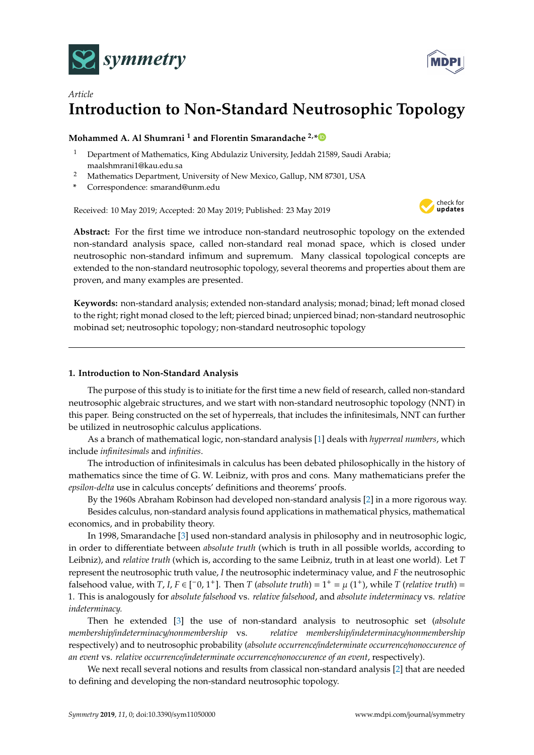



# *Article* **Introduction to Non-Standard Neutrosophic Topology**

# **Mohammed A. Al Shumrani <sup>1</sup> and Florentin Smarandache 2,[\\*](https://orcid.org/0000-0002-5560-5926)**

- <sup>1</sup> Department of Mathematics, King Abdulaziz University, Jeddah 21589, Saudi Arabia; maalshmrani1@kau.edu.sa
- <sup>2</sup> Mathematics Department, University of New Mexico, Gallup, NM 87301, USA
- **\*** Correspondence: smarand@unm.edu

Received: 10 May 2019; Accepted: 20 May 2019; Published: 23 May 2019



**Abstract:** For the first time we introduce non-standard neutrosophic topology on the extended non-standard analysis space, called non-standard real monad space, which is closed under neutrosophic non-standard infimum and supremum. Many classical topological concepts are extended to the non-standard neutrosophic topology, several theorems and properties about them are proven, and many examples are presented.

**Keywords:** non-standard analysis; extended non-standard analysis; monad; binad; left monad closed to the right; right monad closed to the left; pierced binad; unpierced binad; non-standard neutrosophic mobinad set; neutrosophic topology; non-standard neutrosophic topology

# **1. Introduction to Non-Standard Analysis**

The purpose of this study is to initiate for the first time a new field of research, called non-standard neutrosophic algebraic structures, and we start with non-standard neutrosophic topology (NNT) in this paper. Being constructed on the set of hyperreals, that includes the infinitesimals, NNT can further be utilized in neutrosophic calculus applications.

As a branch of mathematical logic, non-standard analysis [\[1\]](#page-12-0) deals with *hyperreal numbers*, which include *infinitesimals* and *infinities*.

The introduction of infinitesimals in calculus has been debated philosophically in the history of mathematics since the time of G. W. Leibniz, with pros and cons. Many mathematicians prefer the *epsilon-delta* use in calculus concepts' definitions and theorems' proofs.

By the 1960s Abraham Robinson had developed non-standard analysis [\[2\]](#page-12-1) in a more rigorous way. Besides calculus, non-standard analysis found applications in mathematical physics, mathematical economics, and in probability theory.

In 1998, Smarandache [\[3\]](#page-12-2) used non-standard analysis in philosophy and in neutrosophic logic, in order to differentiate between *absolute truth* (which is truth in all possible worlds, according to Leibniz), and *relative truth* (which is, according to the same Leibniz, truth in at least one world). Let *T* represent the neutrosophic truth value, *I* the neutrosophic indeterminacy value, and *F* the neutrosophic falsehood value, with *T*, *I*, *F*  $\in$  [<sup>-0</sup>, 1<sup>+</sup>]. Then *T* (absolute truth) = 1<sup>+</sup> =  $\mu$  (1<sup>+</sup>), while *T* (relative truth) = 1. This is analogously for *absolute falsehood* vs. *relative falsehood*, and *absolute indeterminacy* vs. *relative indeterminacy.*

Then he extended [\[3\]](#page-12-2) the use of non-standard analysis to neutrosophic set (*absolute membership*/*indeterminacy*/*nonmembership* vs. *relative membership*/*indeterminacy*/*nonmembership* respectively) and to neutrosophic probability (*absolute occurrence*/*indeterminate occurrence*/*nonoccurence of an event* vs. *relative occurrence*/*indeterminate occurrence*/*nonoccurence of an event*, respectively).

We next recall several notions and results from classical non-standard analysis [\[2\]](#page-12-1) that are needed to defining and developing the non-standard neutrosophic topology.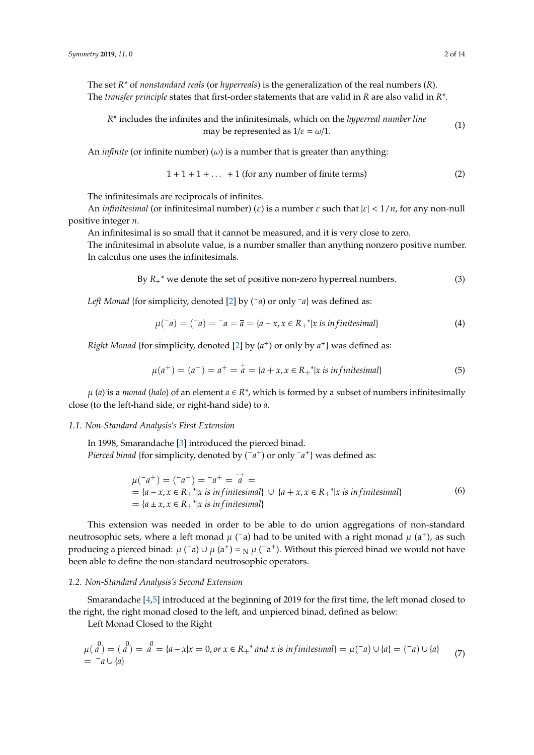The set *R\** of *nonstandard reals* (or *hyperreals*) is the generalization of the real numbers (*R*). The *transfer principle* states that first-order statements that are valid in *R* are also valid in *R\**.

$$
R^*
$$
 includes the infinites and the infinitesimals, which on the *hyperreal number line* may be represented as  $1/\varepsilon = \omega/1$ . (1)

An *infinite* (or infinite number) ( $\omega$ ) is a number that is greater than anything:

$$
1 + 1 + 1 + \dots + 1
$$
 (for any number of finite terms) (2)

The infinitesimals are reciprocals of infinites.

An *infinitesimal* (or infinitesimal number) (ε) is a number ε such that |ε| < 1/*n*, for any non-null positive integer *n*.

An infinitesimal is so small that it cannot be measured, and it is very close to zero.

The infinitesimal in absolute value, is a number smaller than anything nonzero positive number. In calculus one uses the infinitesimals.

By  $R_{+}$ <sup>\*</sup> we denote the set of positive non-zero hyperreal numbers. (3)

*Left Monad* {for simplicity, denoted [\[2\]](#page-12-1) by (−*a*) or only – *a*} was defined as:

$$
\mu(\bar{a}) = (\bar{a}) = \bar{a} = \bar{a} = \{a - x, x \in R_+^* | x \text{ is infinitesimal}\}\
$$
\n(4)

*Right Monad* {for simplicity, denoted [\[2\]](#page-12-1) by (a<sup>+</sup>) or only by a<sup>+</sup>} was defined as:

$$
\mu(a^+) = (a^+) = a^+ = \frac{1}{a} = \{a + x, x \in R_+^* | x \text{ is infinitesimal}\}\tag{5}
$$

 $\mu$  (*a*) is a *monad* (*halo*) of an element  $a \in \mathbb{R}^*$ , which is formed by a subset of numbers infinitesimally close (to the left-hand side, or right-hand side) to *a*.

#### *1.1. Non-Standard Analysis's First Extension*

In 1998, Smarandache [\[3\]](#page-12-2) introduced the pierced binad. *Pierced binad* {for simplicity, denoted by ( $\bar{a}$ <sup>+</sup>) or only <sup>*-a*+</sup>} was defined as:

$$
\mu^{-}(a^{+}) = (-a^{+}) = -a^{+} = \overline{a}^{+} =
$$
\n
$$
= \{a - x, x \in R_{+}^{*} | x \text{ is infinitesimal}\} \cup \{a + x, x \in R_{+}^{*} | x \text{ is infinitesimal}\}
$$
\n
$$
= \{a \pm x, x \in R_{+}^{*} | x \text{ is infinitesimal}\}
$$
\n(6)

This extension was needed in order to be able to do union aggregations of non-standard neutrosophic sets, where a left monad  $\mu$  (<sup>-</sup>a) had to be united with a right monad  $\mu$  (a<sup>+</sup>), as such producing a pierced binad:  $\mu$  (<sup>-</sup>a)  $\cup$   $\mu$  (a<sup>+</sup>) = <sub>N</sub>  $\mu$  (<sup>-</sup>a<sup>+</sup>). Without this pierced binad we would not have been able to define the non-standard neutrosophic operators.

## *1.2. Non-Standard Analysis's Second Extension*

Smarandache [\[4](#page-12-3)[,5\]](#page-12-4) introduced at the beginning of 2019 for the first time, the left monad closed to the right, the right monad closed to the left, and unpierced binad, defined as below:

Left Monad Closed to the Right

$$
\mu(\overline{a}^0) = (\overline{a}^0) = \overline{a}^0 = \{a - x | x = 0, or x \in R_+^* \text{ and } x \text{ is infinitesimal}\} = \mu(\overline{a}) \cup \{a\} = (\overline{a}) \cup \{a\} \tag{7}
$$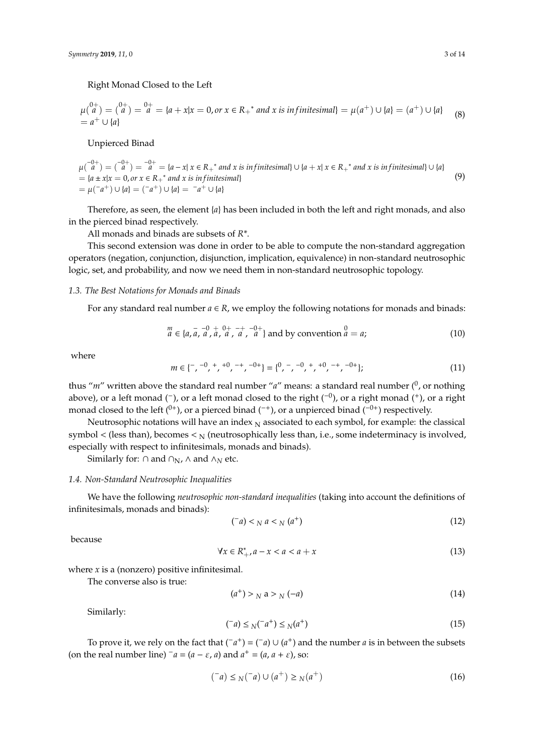Right Monad Closed to the Left

$$
\mu\binom{0+}{a} = \binom{0+}{a} = \binom{0+}{a} = \{a + x | x = 0, \text{ or } x \in R_+^* \text{ and } x \text{ is infinitesimal}\} = \mu(a^+) \cup \{a\} = (a^+) \cup \{a\} \tag{8}
$$

Unpierced Binad

 $\mu({}^{-0+}_{a}) = ({}^{-0+}_{a}) = {}^{-0+}_{a} = {a-x | x \in R_{+}}^{*}$  and x is in finitesimal} ∪ {*a* + *x*| *x* ∈ *R*<sub>+</sub><sup>\*</sup> and x is in finitesimal} ∪ {*a*}  $= {a \pm x|x = 0, or x \in R<sub>+</sub><sup>*</sup> and x is infinitesimal}$  $= \mu({}^-\alpha^+) \cup \{a\} = ({}^-\alpha^+) \cup \{a\} = {}^-\alpha^+ \cup \{a\}$ (9)

Therefore, as seen, the element {*a*} has been included in both the left and right monads, and also in the pierced binad respectively.

All monads and binads are subsets of *R\**.

This second extension was done in order to be able to compute the non-standard aggregation operators (negation, conjunction, disjunction, implication, equivalence) in non-standard neutrosophic logic, set, and probability, and now we need them in non-standard neutrosophic topology.

#### *1.3. The Best Notations for Monads and Binads*

For any standard real number  $a \in R$ , we employ the following notations for monads and binads:

$$
\stackrel{m}{a} \in \{a, \stackrel{-}{a}, \stackrel{-0}{a}, \stackrel{0}{a}, \stackrel{0}{a}, \stackrel{-+}{a}, \stackrel{-0}{a}\} \text{ and by convention } \stackrel{0}{a} = a; \tag{10}
$$

where

$$
m \in \{ ^-, ^-0 , ^+, ^+0 , ^- + , ^{-0+} \} = \{ ^0 , ^-, ^-0 , ^+, ^{+0} , ^- + , ^{-0+} \}; \tag{11}
$$

thus "m" written above the standard real number "a" means: a standard real number (<sup>0</sup>, or nothing above), or a left monad (<sup>-</sup>), or a left monad closed to the right (<sup>-0</sup>), or a right monad (<sup>+</sup>), or a right monad closed to the left  $(0^+)$ , or a pierced binad  $($ <sup>+</sup>), or a unpierced binad  $($ <sup>-0+</sup>) respectively.

Neutrosophic notations will have an index  $_N$  associated to each symbol, for example: the classical symbol < (less than), becomes <  $_N$  (neutrosophically less than, i.e., some indeterminacy is involved, especially with respect to infinitesimals, monads and binads).

Similarly for: ∩ and  $\cap$ <sub>N</sub>, ∧ and  $\land$ <sub>N</sub> etc.

## *1.4. Non-Standard Neutrosophic Inequalities*

We have the following *neutrosophic non-standard inequalities* (taking into account the definitions of infinitesimals, monads and binads):

$$
(\bar{a}) <_{N} a <_{N} (a^{+}) \tag{12}
$$

because

$$
\forall x \in R^*_{+}, a - x < a < a + x \tag{13}
$$

where  $x$  is a (nonzero) positive infinitesimal.

The converse also is true:

$$
(a^+) > N \ a > N \ (-a) \tag{14}
$$

Similarly:

$$
(\bar{a}) \leq N(\bar{a}^+) \leq N(\bar{a}^+) \tag{15}
$$

To prove it, we rely on the fact that  $(\bar{a}^+) = (\bar{a}) \cup (a^+)$  and the number *a* is in between the subsets (on the real number line)  $\bar{a} = (a - \varepsilon, a)$  and  $a^+ = (a, a + \varepsilon)$ , so:

$$
(^{-}a) \leq N(^{-}a) \cup (a^{+}) \geq N(a^{+})
$$
\n(16)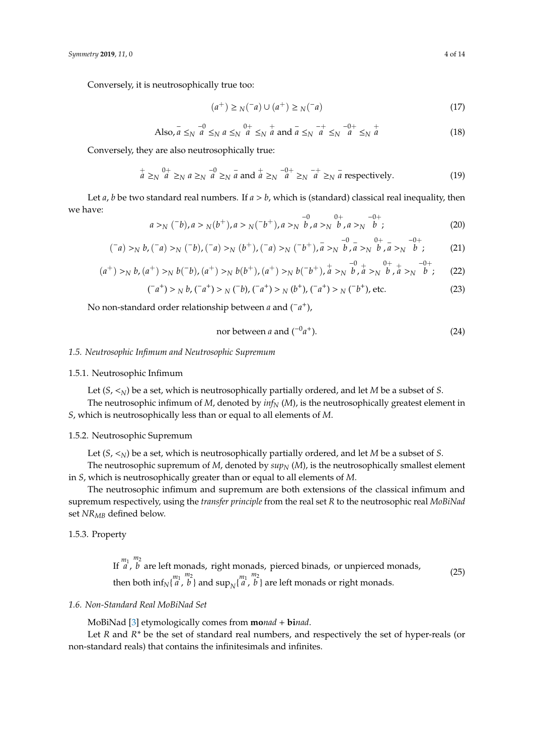Conversely, it is neutrosophically true too:

$$
(a^{+}) \geq N(^{-}a) \cup (a^{+}) \geq N(^{-}a)
$$
\n(17)

Also, 
$$
\bar{a} \leq_N \bar{a} \leq_N a \leq_N a \leq_N \bar{a}^+ \leq_N \bar{a}
$$
 and  $\bar{a} \leq_N \bar{a}^+ \leq_N \bar{a}^+ \leq_N \bar{a}$  (18)

Conversely, they are also neutrosophically true:

$$
\frac{1}{a} \geq_N \frac{0+}{a} \geq_N a \geq_N \frac{-0}{a} \geq_N \frac{-0+}{a} \geq_N \frac{-0+}{a} \geq_N \frac{-+}{a} \geq_N \frac{-}{a} \text{ respectively.}
$$
\n
$$
(19)
$$

Let  $a$ ,  $b$  be two standard real numbers. If  $a > b$ , which is (standard) classical real inequality, then we have:

$$
a >_N (^{-}b), a >_N (b^{+}), a >_N (^{-}b^{+}), a >_N b^{\quad 0}_{\quad \, b} a >_N b^{\quad 0}_{\quad \, b} a >_N b^{\quad -0+};
$$
\n
$$
(20)
$$

$$
(\bar{a}) >_N b, (\bar{a}) >_N (\bar{b}), (\bar{a}) >_N (b^+), (\bar{a}) >_N (\bar{b}^+), \bar{a} >_N \bar{b}, \bar{a} >_N \bar{b}, \bar{a} >_N \bar{b}; \qquad (21)
$$

$$
(a^{+}) >_{N} b, (a^{+}) >_{N} b(^{-}b), (a^{+}) >_{N} b(b^{+}), (a^{+}) >_{N} b(^{-}b^{+}), a^{+} >_{N} \stackrel{-0}{b}, a^{+} >_{N} \stackrel{0}{b}, a^{+} >_{N} \stackrel{-0+}{b};
$$
 (22)

$$
({}^{-}a^{+}) >_{N} b, ({}^{-}a^{+}) >_{N} ({}^{-}b), ({}^{-}a^{+}) >_{N} (b^{+}), ({}^{-}a^{+}) >_{N} ({}^{-}b^{+}), \text{ etc.} \tag{23}
$$

No non-standard order relationship between *a* and (−*a* +),

$$
nor between a and (-0a+).
$$
 (24)

#### *1.5. Neutrosophic Infimum and Neutrosophic Supremum*

#### 1.5.1. Neutrosophic Infimum

Let  $(S, \leq_N)$  be a set, which is neutrosophically partially ordered, and let *M* be a subset of *S*.

The neutrosophic infimum of *M*, denoted by *inf<sup>N</sup>* (*M*), is the neutrosophically greatest element in *S*, which is neutrosophically less than or equal to all elements of *M*.

# 1.5.2. Neutrosophic Supremum

Let  $(S, \le_N)$  be a set, which is neutrosophically partially ordered, and let *M* be a subset of *S*.

The neutrosophic supremum of  $M$ , denoted by  $sup_N(M)$ , is the neutrosophically smallest element in *S*, which is neutrosophically greater than or equal to all elements of *M*.

The neutrosophic infimum and supremum are both extensions of the classical infimum and supremum respectively, using the *transfer principle* from the real set *R* to the neutrosophic real *MoBiNad* set *NRMB* defined below.

## 1.5.3. Property

If  $\frac{m_1}{a}$ , *m*<sup>2</sup> *b* are left monads, right monads, pierced binads, or unpierced monads, then both  $\inf_{N} \{m_1 \atop a$ ,  $\binom{m_2}{b}$  and  $\sup_N \binom{m_1}{a}$ , *m*<sup>2</sup> *b* } are left monads or right monads. (25)

# *1.6. Non-Standard Real MoBiNad Set*

MoBiNad [\[3\]](#page-12-2) etymologically comes from **mo***nad* + **bi***nad*.

Let *R* and *R\** be the set of standard real numbers, and respectively the set of hyper-reals (or non-standard reals) that contains the infinitesimals and infinites.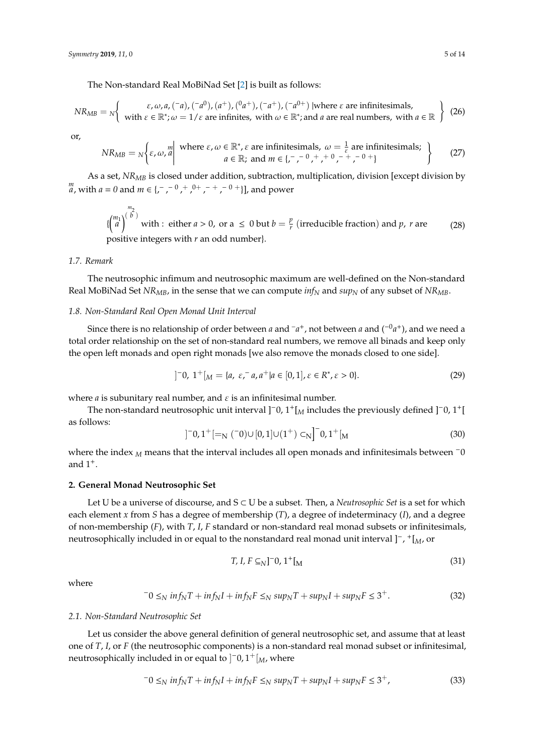The Non-standard Real MoBiNad Set [\[2\]](#page-12-1) is built as follows:

$$
NR_{MB} = N \left\{ \begin{array}{c} \varepsilon, \omega, a, (-a), (-a^0), (a^+), (a^+), (-a^+), (-a^{0+}) \text{ |where } \varepsilon \text{ are infinitesimals,} \\ \text{with } \varepsilon \in \mathbb{R}^*; \omega = 1/\varepsilon \text{ are infinites, with } \omega \in \mathbb{R}^*; \text{and } a \text{ are real numbers, with } a \in \mathbb{R} \end{array} \right\} \tag{26}
$$

or,

$$
NR_{MB} = N\left\{\varepsilon, \omega, \frac{m}{a} \middle| \text{ where } \varepsilon, \omega \in \mathbb{R}^*, \varepsilon \text{ are infinitesimals, } \omega = \frac{1}{\varepsilon} \text{ are infinitesimals;} \quad a \in \mathbb{R}; \text{ and } m \in \{-, -0, +, 0, -+, -0, +\} \tag{27}
$$

As a set, *NRMB* is closed under addition, subtraction, multiplication, division [except division by  $\binom{m}{a}$ , with  $a = 0$  and  $m \in \{-, -0, +0, +, -+, -0, +\}$ , and power

$$
\left\{\begin{pmatrix}m_1\\a\end{pmatrix}^{m_2}\right\}
$$
 with : either  $a > 0$ , or  $a \le 0$  but  $b = \frac{p}{r}$  (irreducible fraction) and  $p$ ,  $r$  are positive integers with  $r$  an odd number.

# *1.7. Remark*

The neutrosophic infimum and neutrosophic maximum are well-defined on the Non-standard Real MoBiNad Set *NR<sub>MB</sub>*, in the sense that we can compute  $inf_N$  and  $sup_N$  of any subset of *NR<sub>MB</sub>*.

#### *1.8. Non-Standard Real Open Monad Unit Interval*

Since there is no relationship of order between *a* and <sup>−</sup>*a*<sup>+</sup>, not between *a* and (<sup>−0</sup>*a*<sup>+</sup>), and we need a total order relationship on the set of non-standard real numbers, we remove all binads and keep only the open left monads and open right monads [we also remove the monads closed to one side].

$$
]^{-}0, 1^{+}[M = {a, \varepsilon, a, a^{+}|a \in [0,1], \varepsilon \in R^{*}, \varepsilon > 0}.
$$
\n(29)

where  $a$  is subunitary real number, and  $\varepsilon$  is an infinitesimal number.

]

The non-standard neutrosophic unit interval ]<sup>−0, 1+</sup>[<sub>*M*</sub> includes the previously defined ]<sup>−0, 1+</sup>[ as follows:

$$
^{-0,1^{+}}[-_{N}(-0)\cup[0,1]\cup(1^{+})\subset_{N}^{-0,1^{+}}[_{M}]
$$
\n(30)

where the index *<sup>M</sup>* means that the interval includes all open monads and infinitesimals between <sup>−</sup><sup>0</sup> and  $1^+$ .

## **2. General Monad Neutrosophic Set**

Let U be a universe of discourse, and S ⊂ U be a subset. Then, a *Neutrosophic Set* is a set for which each element *x* from *S* has a degree of membership (*T*), a degree of indeterminacy (*I*), and a degree of non-membership (*F*), with *T*, *I*, *F* standard or non-standard real monad subsets or infinitesimals, neutrosophically included in or equal to the nonstandard real monad unit interval ]−, <sup>+</sup>[*M*, or

$$
T, I, F \subseteq_N ]^{-} 0, 1^+ [M \tag{31}
$$

where

$$
-0 \leq_N inf_N T + inf_N I + inf_N F \leq_N sup_N T + sup_N I + sup_N F \leq 3^+.
$$
\n(32)

## *2.1. Non-Standard Neutrosophic Set*

Let us consider the above general definition of general neutrosophic set, and assume that at least one of *T*, *I*, or *F* (the neutrosophic components) is a non-standard real monad subset or infinitesimal, neutrosophically included in or equal to ] <sup>−</sup>0, 1+[*M*, where

$$
-0 \leq_N inf_N T + inf_N I + inf_N F \leq_N sup_N T + sup_N I + sup_N F \leq 3^+,
$$
\n(33)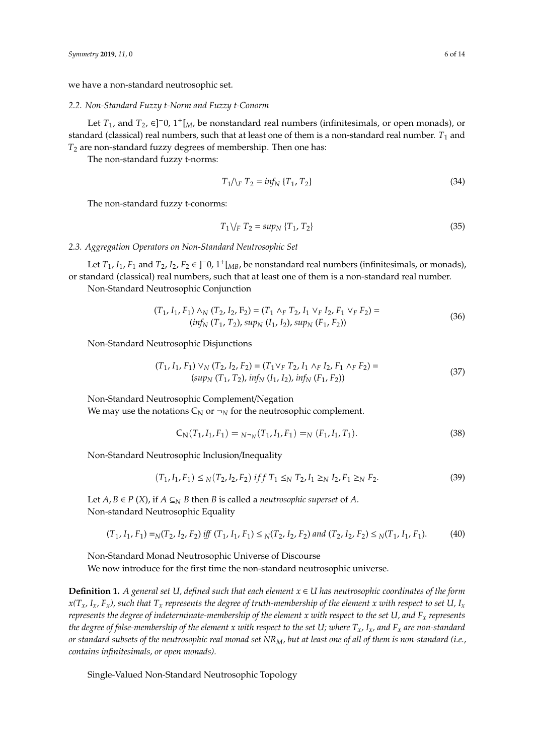we have a non-standard neutrosophic set.

#### *2.2. Non-Standard Fuzzy t-Norm and Fuzzy t-Conorm*

Let  $T_1$ , and  $T_2$ ,  $\in$ ]<sup>-</sup>0, 1<sup>+</sup>[<sub>*M*</sub>, be nonstandard real numbers (infinitesimals, or open monads), or standard (classical) real numbers, such that at least one of them is a non-standard real number.  $T_1$  and *T*<sup>2</sup> are non-standard fuzzy degrees of membership. Then one has:

The non-standard fuzzy t-norms:

$$
T_1/\sqrt{r} T_2 = \inf_N \{T_1, T_2\} \tag{34}
$$

The non-standard fuzzy t-conorms:

$$
T_1 \setminus_F T_2 = \sup_N \{ T_1, T_2 \} \tag{35}
$$

*2.3. Aggregation Operators on Non-Standard Neutrosophic Set*

Let  $T_1$ ,  $I_1$ ,  $F_1$  and  $T_2$ ,  $I_2$ ,  $F_2 \in ]-0$ ,  $1^+$ [<sub>*MB*</sub>, be nonstandard real numbers (infinitesimals, or monads), or standard (classical) real numbers, such that at least one of them is a non-standard real number.

Non-Standard Neutrosophic Conjunction

$$
(T_1, I_1, F_1) \wedge_N (T_2, I_2, F_2) = (T_1 \wedge_F T_2, I_1 \vee_F I_2, F_1 \vee_F F_2) =
$$
  
\n(*inf<sub>N</sub>* (T<sub>1</sub>, T<sub>2</sub>), *sup<sub>N</sub>* (I<sub>1</sub>, I<sub>2</sub>), *sup<sub>N</sub>* (F<sub>1</sub>, F<sub>2</sub>)) (36)

Non-Standard Neutrosophic Disjunctions

$$
(T_1, I_1, F_1) \vee_N (T_2, I_2, F_2) = (T_1 \vee_F T_2, I_1 \wedge_F I_2, F_1 \wedge_F F_2) =
$$
  

$$
(sup_N (T_1, T_2), inf_N (I_1, I_2), inf_N (F_1, F_2))
$$
 (37)

Non-Standard Neutrosophic Complement/Negation We may use the notations  $C_N$  or  $\neg_N$  for the neutrosophic complement.

$$
C_N(T_1, I_1, F_1) = N_{\gamma N}(T_1, I_1, F_1) = N(F_1, I_1, T_1).
$$
\n(38)

Non-Standard Neutrosophic Inclusion/Inequality

$$
(T_1, I_1, F_1) \leq_N (T_2, I_2, F_2) \; \text{iff} \; T_1 \leq_N T_2, I_1 \geq_N I_2, F_1 \geq_N F_2. \tag{39}
$$

Let *A*, *B* ∈ *P* (*X*), if *A* ⊆<sub>*N*</sub> *B* then *B* is called a *neutrosophic superset* of *A*. Non-standard Neutrosophic Equality

$$
(T_1, I_1, F_1) =_N (T_2, I_2, F_2) \; \text{iff} \; (T_1, I_1, F_1) \leq_N (T_2, I_2, F_2) \; \text{and} \; (T_2, I_2, F_2) \leq_N (T_1, I_1, F_1). \tag{40}
$$

Non-Standard Monad Neutrosophic Universe of Discourse We now introduce for the first time the non-standard neutrosophic universe.

**Definition 1.** *A general set U, defined such that each element*  $x \in U$  *has neutrosophic coordinates of the form*  $x(T_x, I_x, F_x)$ , such that  $T_x$  *represents the degree of truth-membership of the element x with respect to set U, I<sub>x</sub> represents the degree of indeterminate-membership of the element x with respect to the set U, and F<sup>x</sup> represents the degree of false-membership of the element x with respect to the set U; where Tx, Ix, and F<sup>x</sup> are non-standard or standard subsets of the neutrosophic real monad set NRM, but at least one of all of them is non-standard (i.e., contains infinitesimals, or open monads).*

Single-Valued Non-Standard Neutrosophic Topology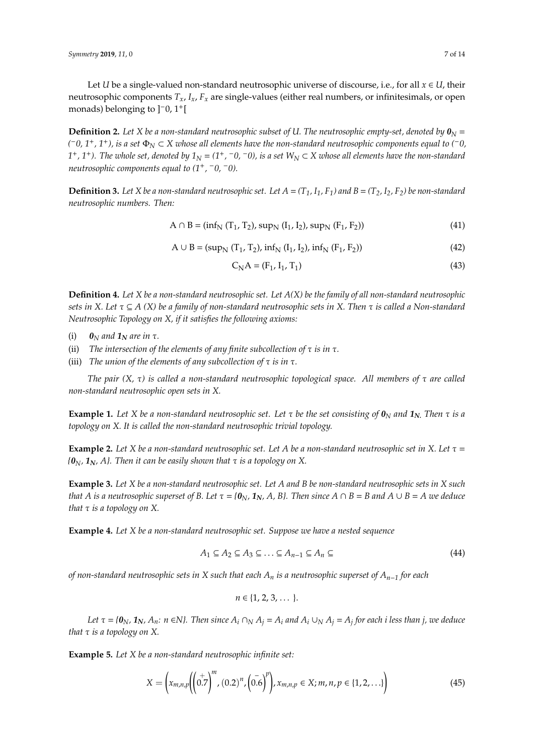Let *U* be a single-valued non-standard neutrosophic universe of discourse, i.e., for all  $x \in U$ , their neutrosophic components *Tx*, *Ix*, *F<sup>x</sup>* are single-values (either real numbers, or infinitesimals, or open monads) belonging to ]−0, 1+[

**Definition 2.** Let X be a non-standard neutrosophic subset of U. The neutrosophic empty-set, denoted by  $\mathbf{0}_N =$ *(* <sup>−</sup>*0, 1*+*, 1*+*), is a set* <sup>Φ</sup>*<sup>N</sup>* <sup>⊂</sup> *<sup>X</sup> whose all elements have the non-standard neutrosophic components equal to (*−*0,*  $1$ <sup> $+$ </sup>,  $1$ <sup> $+$ </sup>). The whole set, denoted by  $1_N = (1^+, -0, -0)$ , is a set W<sub>N</sub> ⊂ X whose all elements have the non-standard *neutrosophic components equal to (1*+*,* <sup>−</sup>*0,* <sup>−</sup>*0).*

**Definition 3.** Let X be a non-standard neutrosophic set. Let  $A = (T_1, I_1, F_1)$  and  $B = (T_2, I_2, F_2)$  be non-standard *neutrosophic numbers. Then:*

$$
A \cap B = (inf_N (T_1, T_2), sup_N (I_1, I_2), sup_N (F_1, F_2))
$$
\n(41)

$$
A \cup B = (supN (T1, T2), infN (I1, I2), infN (F1, F2))
$$
\n(42)

$$
C_{N}A = (F_{1}, I_{1}, T_{1})
$$
\n(43)

**Definition 4.** *Let X be a non-standard neutrosophic set. Let A(X) be the family of all non-standard neutrosophic sets in X. Let* τ ⊆ *A (X) be a family of non-standard neutrosophic sets in X. Then* τ *is called a Non-standard Neutrosophic Topology on X, if it satisfies the following axioms:*

- (i)  $\mathbf{0}_N$  *and*  $\mathbf{1}_N$  *are in*  $\tau$ *.*
- (ii) *The intersection of the elements of any finite subcollection of* τ *is in* τ*.*
- (iii) *The union of the elements of any subcollection of* τ *is in* τ*.*

*The pair (X,* τ*) is called a non-standard neutrosophic topological space. All members of* τ *are called non-standard neutrosophic open sets in X.*

**Example 1.** Let X be a non-standard neutrosophic set. Let  $\tau$  be the set consisting of  $\mathbf{0}_N$  and  $\mathbf{1}_N$ . Then  $\tau$  is a *topology on X. It is called the non-standard neutrosophic trivial topology.*

**Example 2.** Let X be a non-standard neutrosophic set. Let A be a non-standard neutrosophic set in X. Let  $\tau$  =  ${a_N, 1_N, A}$ . Then it can be easily shown that  $\tau$  *is a topology on* X.

**Example 3.** *Let X be a non-standard neutrosophic set. Let A and B be non-standard neutrosophic sets in X such that A is a neutrosophic superset of B. Let*  $\tau = {\bf 0}_N$ ,  ${\bf 1}_N$ , A, B}. Then since  $A \cap B = B$  and  $A \cup B = A$  we deduce *that* τ *is a topology on X.*

**Example 4.** *Let X be a non-standard neutrosophic set. Suppose we have a nested sequence*

$$
A_1 \subseteq A_2 \subseteq A_3 \subseteq \ldots \subseteq A_{n-1} \subseteq A_n \subseteq \tag{44}
$$

*of non-standard neutrosophic sets in X such that each A<sup>n</sup> is a neutrosophic superset of An*−*<sup>1</sup> for each*

$$
n\in\{1,2,3,\cdots\}.
$$

Let  $\tau = \{0_N, 1_N, A_n: n \in N\}$ . Then since  $A_i \cap_N A_j = A_i$  and  $A_i \cup_N A_j = A_j$  for each i less than j, we deduce *that* τ *is a topology on X.*

**Example 5.** *Let X be a non-standard neutrosophic infinite set:*

$$
X = \left(x_{m,n,p} \left( \left( 0.7 \right)^m, \left( 0.2 \right)^n, \left( 0.6 \right)^p \right), x_{m,n,p} \in X; m, n, p \in \{1, 2, \ldots\} \right) \tag{45}
$$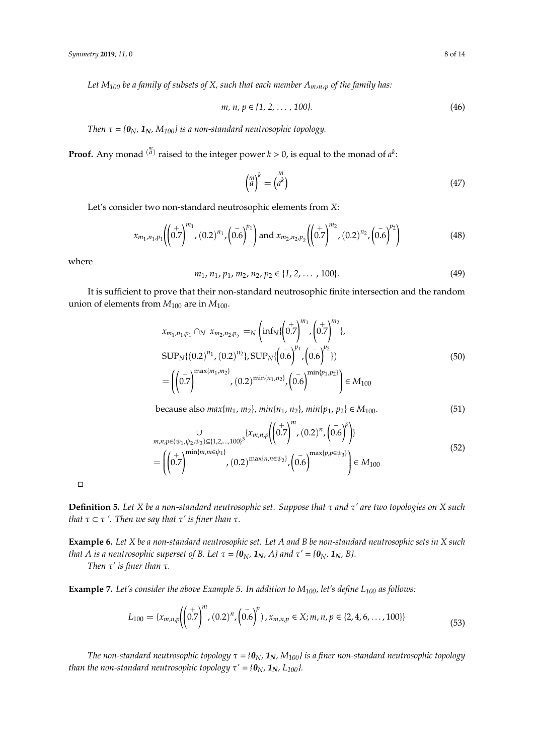*Let M<sup>100</sup> be a family of subsets of X, such that each member Am,n,<sup>p</sup> of the family has:*

$$
m, n, p \in \{1, 2, \dots, 100\}.
$$
 (46)

*Then*  $\tau = \{0_N, 1_N, M_{100}\}$  *is a non-standard neutrosophic topology.* 

**Proof.** Any monad  $\binom{m}{a}$  raised to the integer power  $k > 0$ , is equal to the monad of  $a^k$ .

$$
\begin{pmatrix} m \\ a \end{pmatrix}^k = \begin{pmatrix} m \\ a^k \end{pmatrix} \tag{47}
$$

Let's consider two non-standard neutrosophic elements from *X*:

$$
x_{m_1,n_1,p_1} \left( \left( 0.7 \right)^{m_1}, (0.2)^{n_1}, \left( 0.6 \right)^{p_1} \right) \text{ and } x_{m_2,n_2,p_2} \left( \left( 0.7 \right)^{m_2}, (0.2)^{n_2}, \left( 0.6 \right)^{p_2} \right) \tag{48}
$$

where

$$
m_1, n_1, p_1, m_2, n_2, p_2 \in \{1, 2, \dots, 100\}.
$$
 (49)

It is sufficient to prove that their non-standard neutrosophic finite intersection and the random union of elements from  $M_{100}$  are in  $M_{100}$ .

$$
x_{m_1,n_1,p_1} \cap_N x_{m_2,n_2,p_2} =_N \left( \inf_N \{ \left( 0.7 \right)^{m_1}, \left( 0.7 \right)^{m_2} \},
$$
  
\n
$$
SUP_N \{ (0.2)^{n_1}, (0.2)^{n_2} \}, SUP_N \{ \left( 0.6 \right)^{p_1}, \left( 0.6 \right)^{p_2} \})
$$
  
\n
$$
= \left( \left( 0.7 \right)^{\max\{m_1, m_2\}}, (0.2)^{\min\{n_1, n_2\}}, \left( 0.6 \right)^{\min\{p_1, p_2\}} \right) \in M_{100}
$$
\n(50)

because also  $max\{m_1, m_2\}$ ,  $min\{n_1, n_2\}$ ,  $min\{p_1, p_2\}$  ∈  $M_{100}$ . (51)

$$
m, n, p \in (\psi_1, \psi_2, \psi_3) \subseteq \{1, 2, \dots, 100\}^3 \{x_{m, n, p} \left( \left( 0.7 \right)^m, (0.2)^n, \left( 0.6 \right)^p \right) \}
$$
  
= 
$$
\left( \left( 0.7 \right)^{\min\{m, m \in \psi_1\}}, (0.2)^{\max\{n, n \in \psi_2\}}, \left( 0.6 \right)^{\max\{p, p \in \psi_3\}} \right) \in M_{100}
$$
 (52)

 $\Box$ 

**Definition 5.** *Let X be a non-standard neutrosophic set. Suppose that* τ *and* τ*' are two topologies on X such that*  $\tau \subset \tau'$ *. Then we say that*  $\tau'$  *is finer than*  $\tau$ *.* 

**Example 6.** *Let X be a non-standard neutrosophic set. Let A and B be non-standard neutrosophic sets in X such that A is a neutrosophic superset of <i>B*. Let  $\tau = \{0_N, 1_N, A\}$  and  $\tau' = \{0_N, 1_N, B\}$ .

*Then* τ*' is finer than* τ*.*

**Example 7.** *Let's consider the above Example 5. In addition to M100, let's define L<sup>100</sup> as follows:*

$$
L_{100} = \{x_{m,n,p} \left( \left( 0.7 \right)^m, \left( 0.2 \right)^n, \left( 0.6 \right)^p \right), x_{m,n,p} \in X; m,n,p \in \{2, 4, 6, \dots, 100\} \} \tag{53}
$$

*The non-standard neutrosophic topology*  $\tau = \{\mathbf{0}_N, \mathbf{1}_N, M_{100}\}\)$  *is a finer non-standard neutrosophic topology than the non-standard neutrosophic topology*  $\tau' = \{\mathbf{0}_N, \mathbf{1}_N, L_{100}\}.$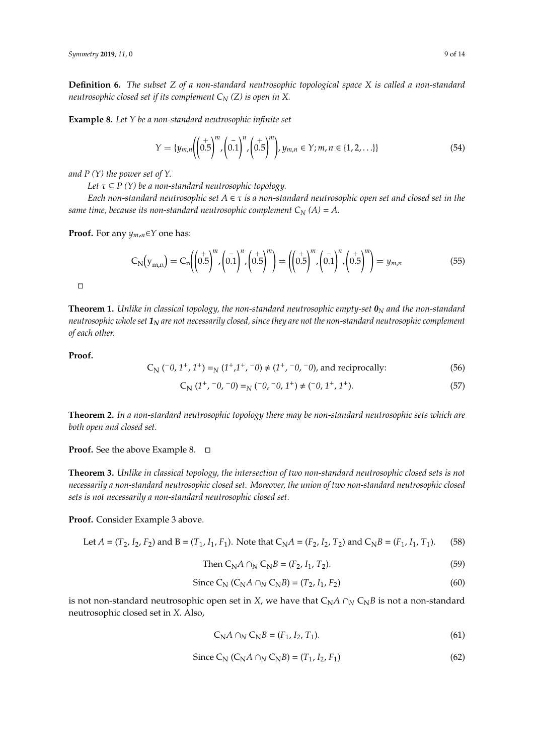**Definition 6.** *The subset Z of a non-standard neutrosophic topological space X is called a non-standard neutrosophic closed set if its complement C<sup>N</sup> (Z) is open in X.*

**Example 8.** *Let Y be a non-standard neutrosophic infinite set*

$$
Y = \{y_{m,n} \left( \left( 0.5 \right)^m, \left( 0.1 \right)^n, \left( 0.5 \right)^m \right), y_{m,n} \in Y; m, n \in \{1, 2, \ldots\} \} \tag{54}
$$

*and P (Y) the power set of Y.*

*Let*  $\tau \subseteq P(Y)$  *be a non-standard neutrosophic topology.* 

*Each non-standard neutrosophic set*  $A \in \tau$  *is a non-standard neutrosophic open set and closed set in the same time, because its non-standard neutrosophic complement*  $C_N(A) = A$ .

**Proof.** For any *ym*,*n*∈*Y* one has:

$$
C_N(y_{m,n}) = C_n \left( \left( 0.5 \right)^m, \left( 0.1 \right)^n, \left( 0.5 \right)^m \right) = \left( \left( 0.5 \right)^m, \left( 0.1 \right)^n, \left( 0.5 \right)^m \right) = y_{m,n}
$$
(55)

 $\Box$ 

**Theorem 1.** *Unlike in classical topology, the non-standard neutrosophic empty-set*  $\mathbf{0}_N$  *and the non-standard neutrosophic whole set 1<sup>N</sup> are not necessarily closed, since they are not the non-standard neutrosophic complement of each other.*

**Proof.**

$$
C_N (^{-0}, 1^+, 1^+) =_N (1^+, 1^+, -0) \neq (1^+, -0, -0)
$$
, and reciprocally: (56)

$$
C_N (1^+, -0, -0) =_N (-0, -0, 1^+) \neq (-0, 1^+, 1^+).
$$
 (57)

**Theorem 2.** *In a non-stardard neutrosophic topology there may be non-standard neutrosophic sets which are both open and closed set.*

**Proof.** See the above Example 8.

**Theorem 3.** *Unlike in classical topology, the intersection of two non-standard neutrosophic closed sets is not necessarily a non-standard neutrosophic closed set. Moreover, the union of two non-standard neutrosophic closed sets is not necessarily a non-standard neutrosophic closed set.*

**Proof.** Consider Example 3 above.

Let 
$$
A = (T_2, I_2, F_2)
$$
 and  $B = (T_1, I_1, F_1)$ . Note that  $C_N A = (F_2, I_2, T_2)$  and  $C_N B = (F_1, I_1, T_1)$ . (58)

Then 
$$
C_N A \cap_N C_N B = (F_2, I_1, T_2).
$$
 (59)

Since C<sub>N</sub> (C<sub>N</sub>A 
$$
\cap_N
$$
 C<sub>N</sub>B) = (T<sub>2</sub>, I<sub>1</sub>, F<sub>2</sub>) (60)

is not non-standard neutrosophic open set in *X*, we have that  $C_N A \cap N C_N B$  is not a non-standard neutrosophic closed set in *X*. Also,

$$
C_N A \cap_N C_N B = (F_1, I_2, T_1). \tag{61}
$$

Since C<sub>N</sub> (C<sub>N</sub>A 
$$
\cap_N
$$
 C<sub>N</sub>B) = (T<sub>1</sub>, I<sub>2</sub>, F<sub>1</sub>) (62)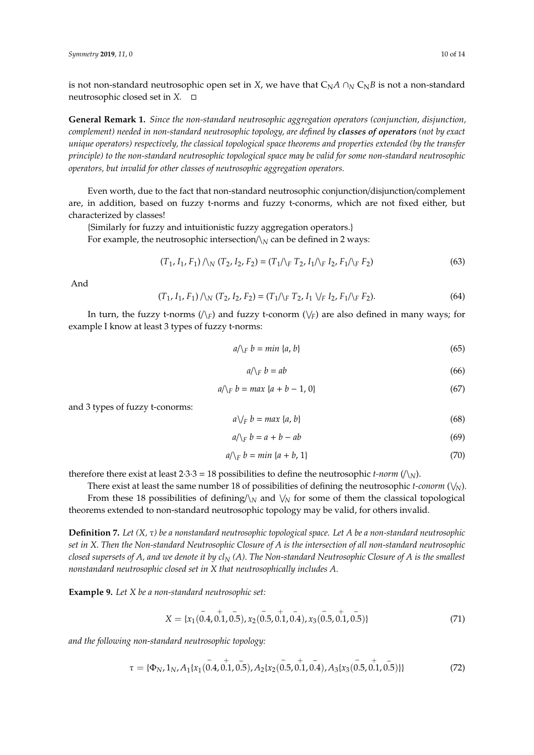is not non-standard neutrosophic open set in *X*, we have that  $C_N A \cap N C_N B$  is not a non-standard neutrosophic closed set in *X.*

**General Remark 1.** *Since the non-standard neutrosophic aggregation operators (conjunction, disjunction, complement) needed in non-standard neutrosophic topology, are defined by classes of operators (not by exact unique operators) respectively, the classical topological space theorems and properties extended (by the transfer principle) to the non-standard neutrosophic topological space may be valid for some non-standard neutrosophic operators, but invalid for other classes of neutrosophic aggregation operators.*

Even worth, due to the fact that non-standard neutrosophic conjunction/disjunction/complement are, in addition, based on fuzzy t-norms and fuzzy t-conorms, which are not fixed either, but characterized by classes!

{Similarly for fuzzy and intuitionistic fuzzy aggregation operators.}

For example, the neutrosophic intersection/ $\lambda_N$  can be defined in 2 ways:

$$
(T_1, I_1, F_1) \wedge_N (T_2, I_2, F_2) = (T_1 \wedge_F T_2, I_1 \wedge_F I_2, F_1 \wedge_F F_2)
$$
\n(63)

And

$$
(T_1, I_1, F_1) \wedge_N (T_2, I_2, F_2) = (T_1 \wedge_F T_2, I_1 \vee_F I_2, F_1 \wedge_F F_2). \tag{64}
$$

In turn, the fuzzy t-norms  $(\setminus_F)$  and fuzzy t-conorm  $(\setminus_F)$  are also defined in many ways; for example I know at least 3 types of fuzzy t-norms:

$$
a/\langle E \mid b = \min \{a, b\} \tag{65}
$$

$$
a/\sqrt{p} b = ab \tag{66}
$$

$$
a/\langle_F b = max \{a + b - 1, 0\}\tag{67}
$$

and 3 types of fuzzy t-conorms:

$$
a\vee_F b = \max\{a, b\} \tag{68}
$$

$$
a/\lambda_F b = a + b - ab \tag{69}
$$

$$
a/\langle_E b = min \{a + b, 1\}\tag{70}
$$

therefore there exist at least  $2·3·3 = 18$  possibilities to define the neutrosophic *t-norm* ( $\land_N$ ).

There exist at least the same number 18 of possibilities of defining the neutrosophic *t-conorm* ( $\vee$ <sub>N</sub>). From these 18 possibilities of defining/ $\lambda_N$  and  $\lambda_N$  for some of them the classical topological theorems extended to non-standard neutrosophic topology may be valid, for others invalid.

**Definition 7.** *Let (X,* τ*) be a nonstandard neutrosophic topological space. Let A be a non-standard neutrosophic set in X. Then the Non-standard Neutrosophic Closure of A is the intersection of all non-standard neutrosophic closed supersets of A, and we denote it by cl<sup>N</sup> (A). The Non-standard Neutrosophic Closure of A is the smallest nonstandard neutrosophic closed set in X that neutrosophically includes A.*

**Example 9.** *Let X be a non-standard neutrosophic set:*

$$
X = \{x_1(0.4, 0.1, 0.5), x_2(0.5, 0.1, 0.4), x_3(0.5, 0.1, 0.5)\}\
$$
 (71)

*and the following non-standard neutrosophic topology:*

$$
\tau = \{\Phi_N, 1_N, A_1\{x_1(0.4, 0.1, 0.5), A_2\{x_2(0.5, 0.1, 0.4), A_3\{x_3(0.5, 0.1, 0.5)\}\}\}\
$$
(72)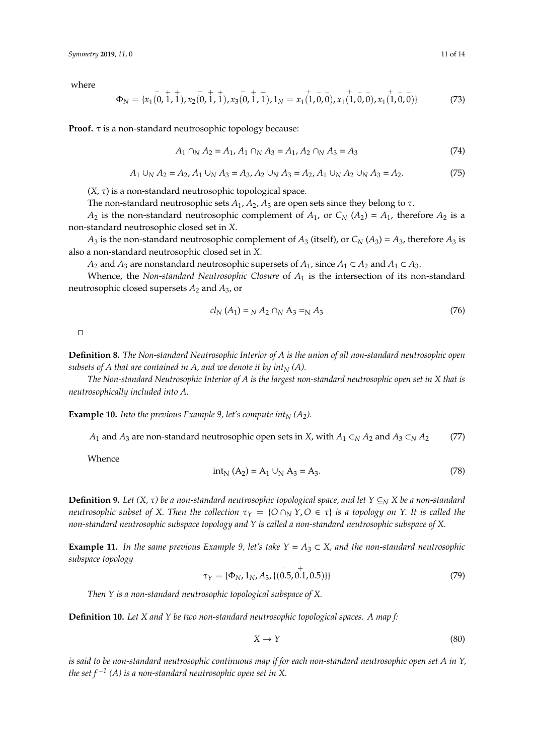where

$$
\Phi_N = \{x_1(0, 1, 1), x_2(0, 1, 1), x_3(0, 1, 1), 1_N = x_1(1, 0, 0), x_1(1, 0, 0), x_1(1, 0, 0)\}\
$$
(73)

**Proof.** τ is a non-standard neutrosophic topology because:

$$
A_1 \cap_N A_2 = A_1, A_1 \cap_N A_3 = A_1, A_2 \cap_N A_3 = A_3 \tag{74}
$$

$$
A_1 \cup_N A_2 = A_2, A_1 \cup_N A_3 = A_3, A_2 \cup_N A_3 = A_2, A_1 \cup_N A_2 \cup_N A_3 = A_2.
$$
 (75)

(*X*, τ) is a non-standard neutrosophic topological space.

The non-standard neutrosophic sets  $A_1$ ,  $A_2$ ,  $A_3$  are open sets since they belong to  $\tau$ .

*A*<sub>2</sub> is the non-standard neutrosophic complement of  $A_1$ , or  $C_N$  ( $A_2$ ) =  $A_1$ , therefore  $A_2$  is a non-standard neutrosophic closed set in *X*.

*A*<sub>3</sub> is the non-standard neutrosophic complement of  $A_3$  (itself), or  $C_N(A_3) = A_3$ , therefore  $A_3$  is also a non-standard neutrosophic closed set in *X*.

*A*<sub>2</sub> and *A*<sub>3</sub> are nonstandard neutrosophic supersets of *A*<sub>1</sub>, since *A*<sub>1</sub> ⊂ *A*<sub>2</sub> and *A*<sub>1</sub> ⊂ *A*<sub>3</sub>.

Whence, the *Non-standard Neutrosophic Closure* of *A*<sup>1</sup> is the intersection of its non-standard neutrosophic closed supersets *A*<sup>2</sup> and *A*3, or

$$
cl_N(A_1) = _N A_2 \cap _N A_3 = _N A_3 \tag{76}
$$

 $\Box$ 

**Definition 8.** *The Non-standard Neutrosophic Interior of A is the union of all non-standard neutrosophic open subsets of A that are contained in A, and we denote it by int* $<sub>N</sub>$  (A).</sub>

*The Non-standard Neutrosophic Interior of A is the largest non-standard neutrosophic open set in X that is neutrosophically included into A.*

**Example 10.** *Into the previous Example 9, let's compute*  $int_N (A_2)$ *.* 

*A*<sub>1</sub> and *A*<sub>3</sub> are non-standard neutrosophic open sets in *X*, with  $A_1 \subset N$  *A*<sub>2</sub> and  $A_3 \subset N$  *A*<sub>2</sub> (77)

Whence

$$
int_{N} (A_{2}) = A_{1} \cup_{N} A_{3} = A_{3}. \qquad (78)
$$

**Definition 9.** Let  $(X, \tau)$  be a non-standard neutrosophic topological space, and let  $Y \subseteq_N X$  be a non-standard *neutrosophic subset of X. Then the collection*  $τ_Y = {O ∩_N Y, O ∈ τ}$  *is a topology on Y. It is called the non-standard neutrosophic subspace topology and Y is called a non-standard neutrosophic subspace of X.*

**Example 11.** *In the same previous Example 9, let's take*  $Y = A_3 \subset X$ *, and the non-standard neutrosophic subspace topology* −

$$
\tau_Y = \{\Phi_N, 1_N, A_3, \{(\stackrel{\cdot}{0.5}, \stackrel{\cdot}{0.1}, \stackrel{\cdot}{0.5})\}\}\tag{79}
$$

*Then Y is a non-standard neutrosophic topological subspace of X.*

**Definition 10.** *Let X and Y be two non-standard neutrosophic topological spaces. A map f:*

$$
X \to Y \tag{80}
$$

*is said to be non-standard neutrosophic continuous map if for each non-standard neutrosophic open set A in Y, the set f*  $^{-1}$  (A) is a non-standard neutrosophic open set in X.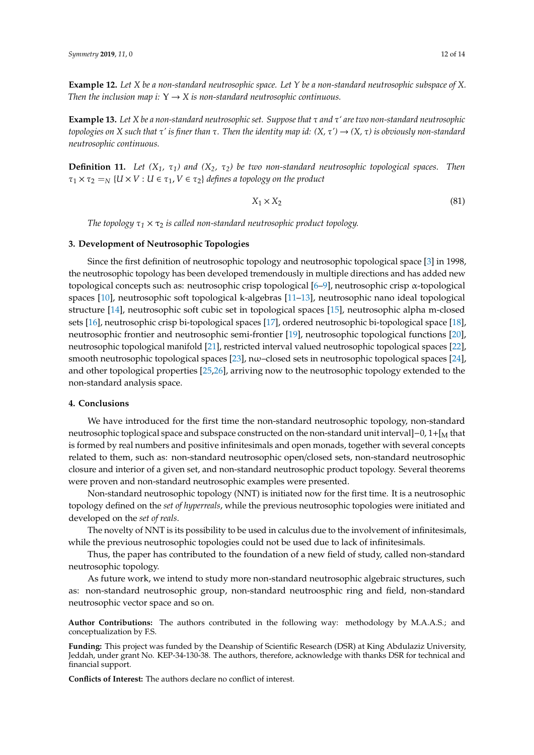**Example 12.** *Let X be a non-standard neutrosophic space. Let Y be a non-standard neutrosophic subspace of X. Then the inclusion map i:*  $Y \rightarrow X$  *is non-standard neutrosophic continuous.* 

**Example 13.** *Let X be a non-standard neutrosophic set. Suppose that* τ *and* τ*' are two non-standard neutrosophic topologies on X such that* τ*' is finer than* τ*. Then the identity map id: (X,* τ*')* → *(X,* τ*) is obviously non-standard neutrosophic continuous.*

**Definition 11.** *Let (X1,* τ*1) and (X2,* τ*2) be two non-standard neutrosophic topological spaces. Then*  $\tau_1 \times \tau_2 = N$   $\{U \times V : U \in \tau_1, V \in \tau_2\}$  *defines a topology on the product* 

$$
X_1 \times X_2 \tag{81}
$$

*The topology*  $\tau_1 \times \tau_2$  *is called non-standard neutrosophic product topology.* 

# **3. Development of Neutrosophic Topologies**

Since the first definition of neutrosophic topology and neutrosophic topological space [\[3\]](#page-12-2) in 1998, the neutrosophic topology has been developed tremendously in multiple directions and has added new topological concepts such as: neutrosophic crisp topological [\[6](#page-12-5)[–9\]](#page-12-6), neutrosophic crisp α-topological spaces [\[10\]](#page-12-7), neutrosophic soft topological k-algebras [\[11–](#page-12-8)[13\]](#page-12-9), neutrosophic nano ideal topological structure [\[14\]](#page-12-10), neutrosophic soft cubic set in topological spaces [\[15\]](#page-12-11), neutrosophic alpha m-closed sets [\[16\]](#page-12-12), neutrosophic crisp bi-topological spaces [\[17\]](#page-12-13), ordered neutrosophic bi-topological space [\[18\]](#page-12-14), neutrosophic frontier and neutrosophic semi-frontier [\[19\]](#page-12-15), neutrosophic topological functions [\[20\]](#page-12-16), neutrosophic topological manifold [\[21\]](#page-12-17), restricted interval valued neutrosophic topological spaces [\[22\]](#page-12-18), smooth neutrosophic topological spaces [\[23\]](#page-12-19), nω–closed sets in neutrosophic topological spaces [\[24\]](#page-12-20), and other topological properties [\[25,](#page-13-0)[26\]](#page-13-1), arriving now to the neutrosophic topology extended to the non-standard analysis space.

#### **4. Conclusions**

We have introduced for the first time the non-standard neutrosophic topology, non-standard neutrosophic toplogical space and subspace constructed on the non-standard unit interval]–0, 1+[<sub>M</sub> that is formed by real numbers and positive infinitesimals and open monads, together with several concepts related to them, such as: non-standard neutrosophic open/closed sets, non-standard neutrosophic closure and interior of a given set, and non-standard neutrosophic product topology. Several theorems were proven and non-standard neutrosophic examples were presented.

Non-standard neutrosophic topology (NNT) is initiated now for the first time. It is a neutrosophic topology defined on the *set of hyperreals*, while the previous neutrosophic topologies were initiated and developed on the *set of reals*.

The novelty of NNT is its possibility to be used in calculus due to the involvement of infinitesimals, while the previous neutrosophic topologies could not be used due to lack of infinitesimals.

Thus, the paper has contributed to the foundation of a new field of study, called non-standard neutrosophic topology.

As future work, we intend to study more non-standard neutrosophic algebraic structures, such as: non-standard neutrosophic group, non-standard neutroosphic ring and field, non-standard neutrosophic vector space and so on.

**Author Contributions:** The authors contributed in the following way: methodology by M.A.A.S.; and conceptualization by F.S.

**Funding:** This project was funded by the Deanship of Scientific Research (DSR) at King Abdulaziz University, Jeddah, under grant No. KEP-34-130-38. The authors, therefore, acknowledge with thanks DSR for technical and financial support.

**Conflicts of Interest:** The authors declare no conflict of interest.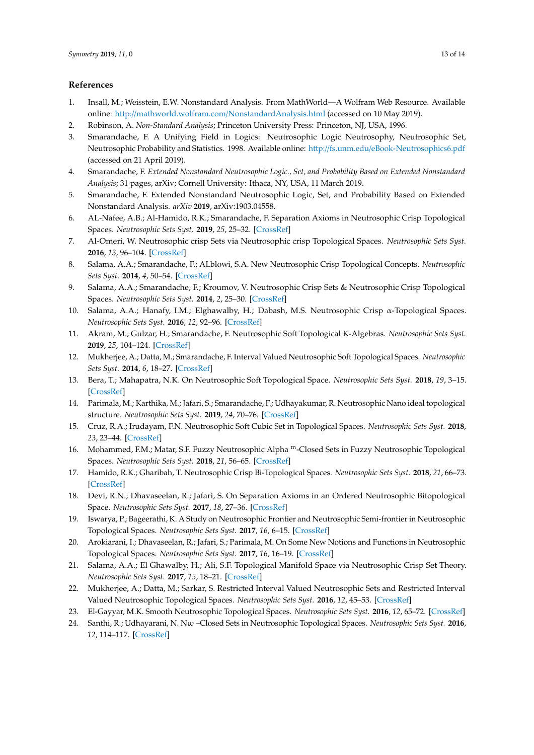## **References**

- <span id="page-12-0"></span>1. Insall, M.; Weisstein, E.W. Nonstandard Analysis. From MathWorld—A Wolfram Web Resource. Available online: http://mathworld.wolfram.com/[NonstandardAnalysis.html](http://mathworld.wolfram.com/NonstandardAnalysis.html) (accessed on 10 May 2019).
- <span id="page-12-1"></span>2. Robinson, A. *Non-Standard Analysis*; Princeton University Press: Princeton, NJ, USA, 1996.
- <span id="page-12-2"></span>3. Smarandache, F. A Unifying Field in Logics: Neutrosophic Logic Neutrosophy, Neutrosophic Set, Neutrosophic Probability and Statistics. 1998. Available online: http://fs.unm.edu/[eBook-Neutrosophics6.pdf](http://fs.unm.edu/eBook-Neutrosophics6.pdf) (accessed on 21 April 2019).
- <span id="page-12-3"></span>4. Smarandache, F. *Extended Nonstandard Neutrosophic Logic., Set, and Probability Based on Extended Nonstandard Analysis*; 31 pages, arXiv; Cornell University: Ithaca, NY, USA, 11 March 2019.
- <span id="page-12-4"></span>5. Smarandache, F. Extended Nonstandard Neutrosophic Logic, Set, and Probability Based on Extended Nonstandard Analysis. *arXiv* **2019**, arXiv:1903.04558.
- <span id="page-12-5"></span>6. AL-Nafee, A.B.; Al-Hamido, R.K.; Smarandache, F. Separation Axioms in Neutrosophic Crisp Topological Spaces. *Neutrosophic Sets Syst.* **2019**, *25*, 25–32. [\[CrossRef\]](http://dx.doi.org/10.5281/zenodo.2631488)
- 7. Al-Omeri, W. Neutrosophic crisp Sets via Neutrosophic crisp Topological Spaces. *Neutrosophic Sets Syst.* **2016**, *13*, 96–104. [\[CrossRef\]](http://dx.doi.org/10.5281/zenodo.570855)
- 8. Salama, A.A.; Smarandache, F.; ALblowi, S.A. New Neutrosophic Crisp Topological Concepts. *Neutrosophic Sets Syst.* **2014**, *4*, 50–54. [\[CrossRef\]](http://dx.doi.org/10.5281/zenodo.571462)
- <span id="page-12-6"></span>9. Salama, A.A.; Smarandache, F.; Kroumov, V. Neutrosophic Crisp Sets & Neutrosophic Crisp Topological Spaces. *Neutrosophic Sets Syst.* **2014**, *2*, 25–30. [\[CrossRef\]](http://dx.doi.org/10.5281/zenodo.571502)
- <span id="page-12-7"></span>10. Salama, A.A.; Hanafy, I.M.; Elghawalby, H.; Dabash, M.S. Neutrosophic Crisp α-Topological Spaces. *Neutrosophic Sets Syst.* **2016**, *12*, 92–96. [\[CrossRef\]](http://dx.doi.org/10.5281/zenodo.571137)
- <span id="page-12-8"></span>11. Akram, M.; Gulzar, H.; Smarandache, F. Neutrosophic Soft Topological K-Algebras. *Neutrosophic Sets Syst.* **2019**, *25*, 104–124. [\[CrossRef\]](http://dx.doi.org/10.5281/zenodo.2631510)
- 12. Mukherjee, A.; Datta, M.; Smarandache, F. Interval Valued Neutrosophic Soft Topological Spaces. *Neutrosophic Sets Syst.* **2014**, *6*, 18–27. [\[CrossRef\]](http://dx.doi.org/10.5281/zenodo.571417)
- <span id="page-12-9"></span>13. Bera, T.; Mahapatra, N.K. On Neutrosophic Soft Topological Space. *Neutrosophic Sets Syst.* **2018**, *19*, 3–15. [\[CrossRef\]](http://dx.doi.org/10.5281/zenodo.1235291)
- <span id="page-12-10"></span>14. Parimala, M.; Karthika, M.; Jafari, S.; Smarandache, F.; Udhayakumar, R. Neutrosophic Nano ideal topological structure. *Neutrosophic Sets Syst.* **2019**, *24*, 70–76. [\[CrossRef\]](http://dx.doi.org/10.5281/zenodo.2593925)
- <span id="page-12-11"></span>15. Cruz, R.A.; Irudayam, F.N. Neutrosophic Soft Cubic Set in Topological Spaces. *Neutrosophic Sets Syst.* **2018**, *23*, 23–44. [\[CrossRef\]](http://dx.doi.org/10.5281/zenodo.2156005)
- <span id="page-12-12"></span>16. Mohammed, F.M.; Matar, S.F. Fuzzy Neutrosophic Alpha <sup>m</sup>-Closed Sets in Fuzzy Neutrosophic Topological Spaces. *Neutrosophic Sets Syst.* **2018**, *21*, 56–65. [\[CrossRef\]](http://dx.doi.org/10.5281/zenodo.1408676)
- <span id="page-12-13"></span>17. Hamido, R.K.; Gharibah, T. Neutrosophic Crisp Bi-Topological Spaces. *Neutrosophic Sets Syst.* **2018**, *21*, 66–73. [\[CrossRef\]](http://dx.doi.org/10.5281/zenodo.1408695)
- <span id="page-12-14"></span>18. Devi, R.N.; Dhavaseelan, R.; Jafari, S. On Separation Axioms in an Ordered Neutrosophic Bitopological Space. *Neutrosophic Sets Syst.* **2017**, *18*, 27–36. [\[CrossRef\]](http://dx.doi.org/10.5281/zenodo.1175170)
- <span id="page-12-15"></span>19. Iswarya, P.; Bageerathi, K. A Study on Neutrosophic Frontier and Neutrosophic Semi-frontier in Neutrosophic Topological Spaces. *Neutrosophic Sets Syst.* **2017**, *16*, 6–15. [\[CrossRef\]](http://dx.doi.org/10.5281/zenodo.831913)
- <span id="page-12-16"></span>20. Arokiarani, I.; Dhavaseelan, R.; Jafari, S.; Parimala, M. On Some New Notions and Functions in Neutrosophic Topological Spaces. *Neutrosophic Sets Syst.* **2017**, *16*, 16–19. [\[CrossRef\]](http://dx.doi.org/10.5281/zenodo.831915)
- <span id="page-12-17"></span>21. Salama, A.A.; El Ghawalby, H.; Ali, S.F. Topological Manifold Space via Neutrosophic Crisp Set Theory. *Neutrosophic Sets Syst.* **2017**, *15*, 18–21. [\[CrossRef\]](http://dx.doi.org/10.5281/zenodo.570946)
- <span id="page-12-18"></span>22. Mukherjee, A.; Datta, M.; Sarkar, S. Restricted Interval Valued Neutrosophic Sets and Restricted Interval Valued Neutrosophic Topological Spaces. *Neutrosophic Sets Syst.* **2016**, *12*, 45–53. [\[CrossRef\]](http://dx.doi.org/10.5281/zenodo.571145)
- <span id="page-12-19"></span>23. El-Gayyar, M.K. Smooth Neutrosophic Topological Spaces. *Neutrosophic Sets Syst.* **2016**, *12*, 65–72. [\[CrossRef\]](http://dx.doi.org/10.5281/zenodo.571147)
- <span id="page-12-20"></span>24. Santhi, R.; Udhayarani, N. Nω –Closed Sets in Neutrosophic Topological Spaces. *Neutrosophic Sets Syst.* **2016**, *12*, 114–117. [\[CrossRef\]](http://dx.doi.org/10.5281/zenodo.571135)